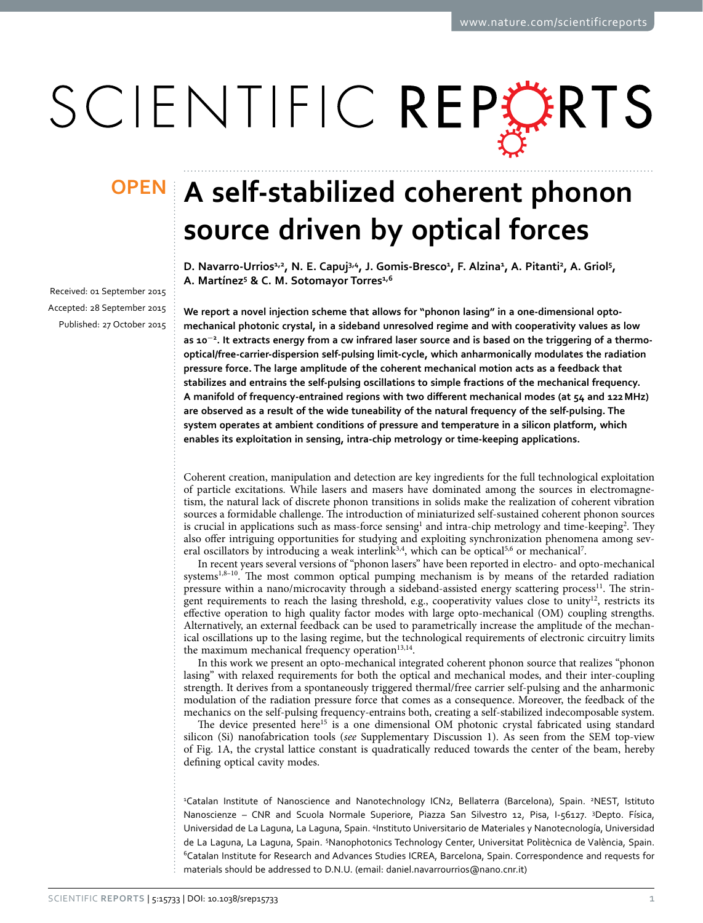# SCIENTIFIC REPORTS

received: 01 September 2015 accepted: 28 September 2015 Published: 27 October 2015

## **A** self-stabilized coherent phonon **source driven by optical forces**

D. Navarro-Urrios<sup>1,2</sup>, N. E. Capuj<sup>3,4</sup>, J. Gomis-Bresco<sup>1</sup>, F. Alzina<sup>1</sup>, A. Pitanti<sup>2</sup>, A. Griol<sup>5</sup>, **A. Martínez5 & C. M. Sotomayor Torres1,6**

**We report a novel injection scheme that allows for "phonon lasing" in a one-dimensional optomechanical photonic crystal, in a sideband unresolved regime and with cooperativity values as low as 10<sup>−</sup><sup>2</sup> . It extracts energy from a cw infrared laser source and is based on the triggering of a thermooptical/free-carrier-dispersion self-pulsing limit-cycle, which anharmonically modulates the radiation pressure force. The large amplitude of the coherent mechanical motion acts as a feedback that stabilizes and entrains the self-pulsing oscillations to simple fractions of the mechanical frequency. A manifold of frequency-entrained regions with two different mechanical modes (at 54 and 122MHz) are observed as a result of the wide tuneability of the natural frequency of the self-pulsing. The system operates at ambient conditions of pressure and temperature in a silicon platform, which enables its exploitation in sensing, intra-chip metrology or time-keeping applications.**

Coherent creation, manipulation and detection are key ingredients for the full technological exploitation of particle excitations. While lasers and masers have dominated among the sources in electromagnetism, the natural lack of discrete phonon transitions in solids make the realization of coherent vibration sources a formidable challenge. The introduction of miniaturized self-sustained coherent phonon sources is crucial in applications such as mass-force sensing<sup>1</sup> and intra-chip metrology and time-keeping<sup>2</sup>. They also offer intriguing opportunities for studying and exploiting synchronization phenomena among sev-eral oscillators by introducing a weak interlink<sup>3,4</sup>, which can be optical<sup>5,6</sup> or mechanical<sup>[7](#page-5-6)</sup>.

In recent years several versions of "phonon lasers" have been reported in electro- and opto-mechanical systems<sup>[1](#page-5-0),8-10</sup>. The most common optical pumping mechanism is by means of the retarded radiation pressure within a nano/microcavity through a sideband-assisted energy scattering process<sup>11</sup>. The stringent requirements to reach the lasing threshold, e.g., cooperativity values close to unity<sup>12</sup>, restricts its effective operation to high quality factor modes with large opto-mechanical (OM) coupling strengths. Alternatively, an external feedback can be used to parametrically increase the amplitude of the mechanical oscillations up to the lasing regime, but the technological requirements of electronic circuitry limits the maximum mechanical frequency operation $13,14$ .

In this work we present an opto-mechanical integrated coherent phonon source that realizes "phonon lasing" with relaxed requirements for both the optical and mechanical modes, and their inter-coupling strength. It derives from a spontaneously triggered thermal/free carrier self-pulsing and the anharmonic modulation of the radiation pressure force that comes as a consequence. Moreover, the feedback of the mechanics on the self-pulsing frequency-entrains both, creating a self-stabilized indecomposable system.

The device presented here<sup>15</sup> is a one dimensional OM photonic crystal fabricated using standard silicon (Si) nanofabrication tools (*see* Supplementary Discussion 1). As seen from the SEM top-view of [Fig. 1A](#page-1-0), the crystal lattice constant is quadratically reduced towards the center of the beam, hereby defining optical cavity modes.

<sup>2</sup>Catalan Institute of Nanoscience and Nanotechnology ICN2, Bellaterra (Barcelona), Spain. <sup>2</sup>NEST, Istituto Nanoscienze – CNR and Scuola Normale Superiore, Piazza San Silvestro 12, Pisa, I-56127. 3 Depto. Física, Universidad de La Laguna, La Laguna, Spain. <sup>4</sup>Instituto Universitario de Materiales y Nanotecnología, Universidad de La Laguna, La Laguna, Spain. <sup>5</sup>Nanophotonics Technology Center, Universitat Politècnica de València, Spain. 6Catalan Institute for Research and Advances Studies ICREA, Barcelona, Spain. Correspondence and requests for materials should be addressed to D.N.U. (email: [daniel.navarrourrios@nano.cnr.it](mailto:daniel.navarrourrios@nano.cnr.it))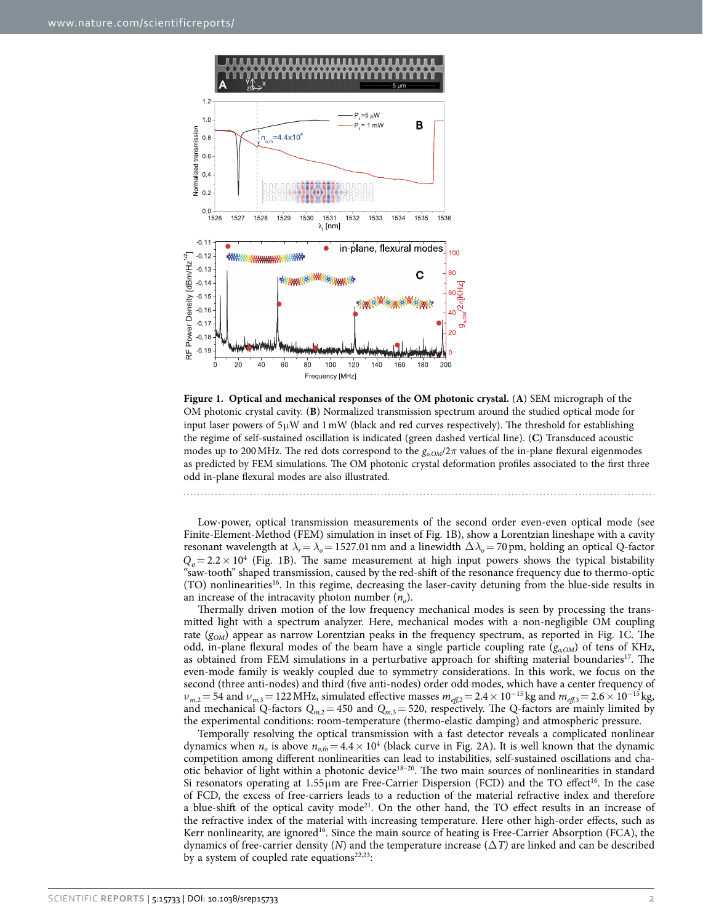

<span id="page-1-0"></span>

Low-power, optical transmission measurements of the second order even-even optical mode (see Finite-Element-Method (FEM) simulation in inset of [Fig. 1B\)](#page-1-0), show a Lorentzian lineshape with a cavity resonant wavelength at  $\lambda_r = \lambda_o = 1527.01$  nm and a linewidth  $\Delta \lambda_o = 70$  pm, holding an optical Q-factor  $Q_0 = 2.2 \times 10^4$  (Fig. 1B). The same measurement at high input powers shows the typical bistability "saw-tooth" shaped transmission, caused by the red-shift of the resonance frequency due to thermo-optic (TO) nonlinearities<sup>16</sup>. In this regime, decreasing the laser-cavity detuning from the blue-side results in an increase of the intracavity photon number  $(n<sub>o</sub>)$ .

Thermally driven motion of the low frequency mechanical modes is seen by processing the transmitted light with a spectrum analyzer. Here, mechanical modes with a non-negligible OM coupling rate ( $g_{OM}$ ) appear as narrow Lorentzian peaks in the frequency spectrum, as reported in Fig. 1C. The odd, in-plane flexural modes of the beam have a single particle coupling rate  $(g_{o,OM})$  of tens of KHz, as obtained from FEM simulations in a perturbative approach for shifting material boundaries<sup>17</sup>. The even-mode family is weakly coupled due to symmetry considerations. In this work, we focus on the second (three anti-nodes) and third (five anti-nodes) order odd modes, which have a center frequency of  $v_{m,2}$  = 54 and  $v_{m,3}$  = 122 MHz, simulated effective masses  $m_{\text{eff},2}$  = 2.4 × 10<sup>-15</sup> kg and  $m_{\text{eff},3}$  = 2.6 × 10<sup>-15</sup> kg, and mechanical Q-factors  $Q_{m,2} = 450$  and  $Q_{m,3} = 520$ , respectively. The Q-factors are mainly limited by the experimental conditions: room-temperature (thermo-elastic damping) and atmospheric pressure.

Temporally resolving the optical transmission with a fast detector reveals a complicated nonlinear dynamics when  $n_o$  is above  $n_{o,th} = 4.4 \times 10^4$  (black curve in [Fig. 2A\)](#page-2-0). It is well known that the dynamic competition among different nonlinearities can lead to instabilities, self-sustained oscillations and chaotic behavior of light within a photonic device<sup>18-20</sup>. The two main sources of nonlinearities in standard Si resonators operating at  $1.55 \mu m$  are Free-Carrier Dispersion (FCD) and the TO effect<sup>16</sup>. In the case of FCD, the excess of free-carriers leads to a reduction of the material refractive index and therefore a blue-shift of the optical cavity mode<sup>21</sup>. On the other hand, the TO effect results in an increase of the refractive index of the material with increasing temperature. Here other high-order effects, such as Kerr nonlinearity, are ignored<sup>16</sup>. Since the main source of heating is Free-Carrier Absorption (FCA), the dynamics of free-carrier density (*N*) and the temperature increase (Δ*T)* are linked and can be described by a system of coupled rate equations<sup>22,23</sup>: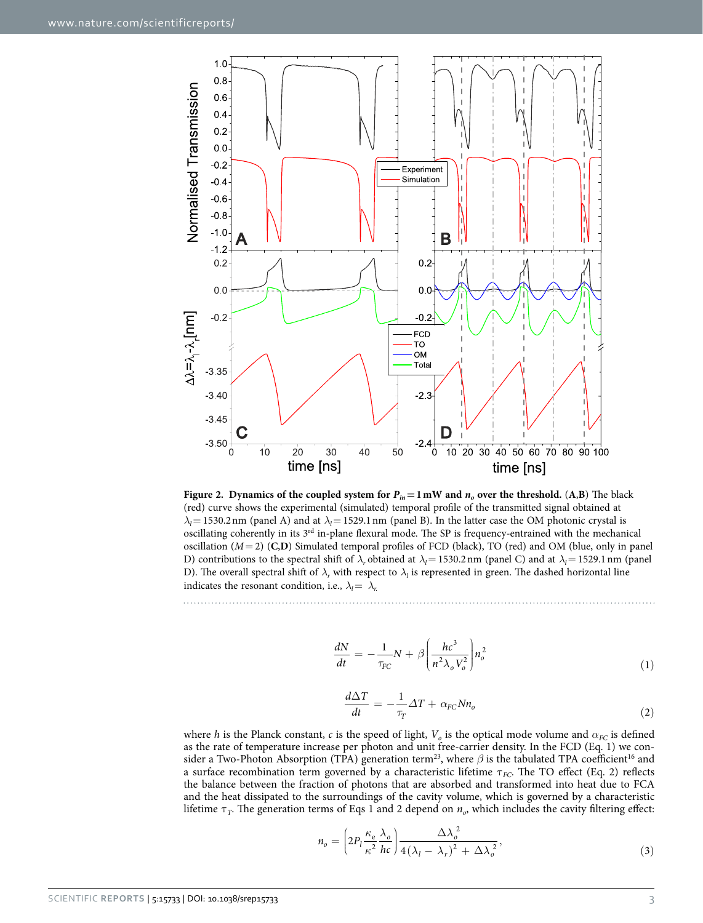

<span id="page-2-0"></span>**Figure 2.** Dynamics of the coupled system for  $P_{in} = 1$  mW and  $n_o$  over the threshold. (A,B) The black (red) curve shows the experimental (simulated) temporal profile of the transmitted signal obtained at  $\lambda$ <sup>l</sup> = 1530.2 nm (panel A) and at  $\lambda$ <sup>2</sup> = 1529.1 nm (panel B). In the latter case the OM photonic crystal is oscillating coherently in its  $3^{rd}$  in-plane flexural mode. The SP is frequency-entrained with the mechanical oscillation (*M*= 2) (**C**,**D**) Simulated temporal profiles of FCD (black), TO (red) and OM (blue, only in panel D) contributions to the spectral shift of  $\lambda_r$  obtained at  $\lambda_l$ = 1530.2nm (panel C) and at  $\lambda_l$ = 1529.1nm (panel D). The overall spectral shift of  $\lambda_r$  with respect to  $\lambda_l$  is represented in green. The dashed horizontal line indicates the resonant condition, i.e.,  $\lambda_l = \lambda_r$ .

$$
\frac{dN}{dt} = -\frac{1}{\tau_{FC}}N + \beta \left(\frac{hc^3}{n^2 \lambda_o V_o^2}\right) n_o^2 \tag{1}
$$

$$
\frac{d\Delta T}{dt} = -\frac{1}{\tau_T} \Delta T + \alpha_{FC} N n_o \tag{2}
$$

where *h* is the Planck constant, *c* is the speed of light,  $V<sub>o</sub>$  is the optical mode volume and  $\alpha_{FC}$  is defined as the rate of temperature increase per photon and unit free-carrier density. In the FCD (Eq. 1) we con-sider a Two-Photon Absorption (TPA) generation term<sup>[23](#page-5-18)</sup>, where  $\beta$  is the tabulated TPA coefficient<sup>16</sup> and a surface recombination term governed by a characteristic lifetime τ<sub>FC</sub>. The TO effect (Eq. 2) reflects the balance between the fraction of photons that are absorbed and transformed into heat due to FCA and the heat dissipated to the surroundings of the cavity volume, which is governed by a characteristic lifetime τ*T*. The generation terms of Eqs 1 and 2 depend on *no*, which includes the cavity filtering effect:

$$
n_o = \left(2P_l \frac{\kappa_e}{\kappa^2} \frac{\lambda_o}{hc}\right) \frac{\Delta \lambda_o^2}{4(\lambda_l - \lambda_r)^2 + \Delta \lambda_o^2},\tag{3}
$$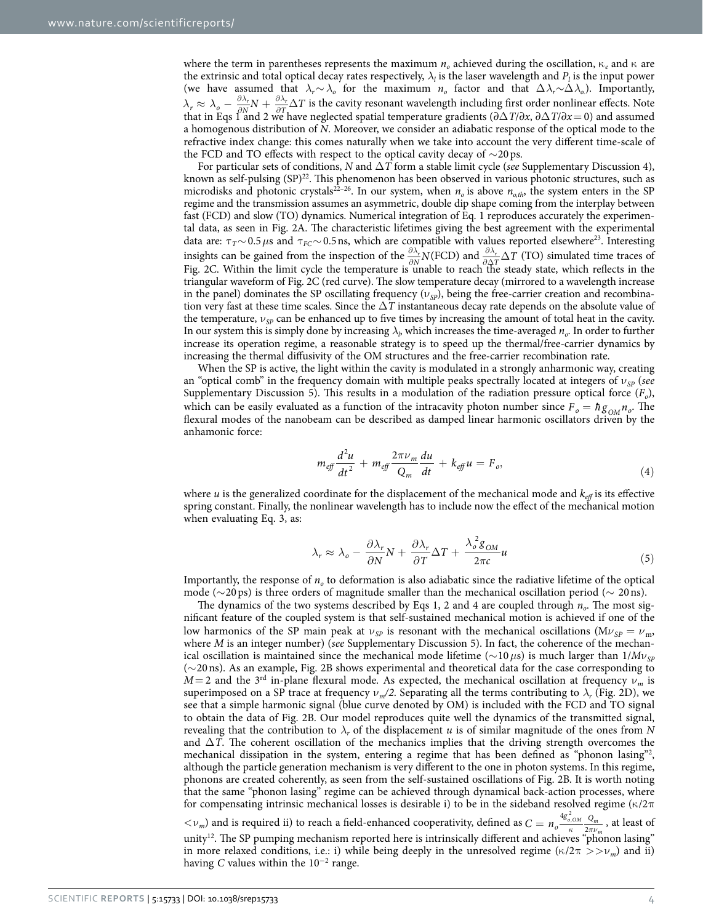where the term in parentheses represents the maximum  $n<sub>o</sub>$  achieved during the oscillation,  $\kappa<sub>e</sub>$  and  $\kappa$  are the extrinsic and total optical decay rates respectively,  $\lambda_l$  is the laser wavelength and  $P_l$  is the input power (we have assumed that  $\lambda_r \sim \lambda_o$  for the maximum  $n_o$  factor and that  $\Delta \lambda_r \sim \Delta \lambda_o$ ). Importantly,  $\lambda_r \approx \lambda_o - \frac{\partial \lambda_r}{\partial N} N + \frac{\partial \lambda_r}{\partial T} \Delta$  $\sigma_r \approx \lambda_o - \frac{\partial \lambda_r}{\partial N} N + \frac{\partial \lambda_r}{\partial T} \Delta T$  is the cavity resonant wavelength including first order nonlinear effects. Note that in Eqs 1 and 2 we have neglected spatial temperature gradients  $(\partial \Delta T/\partial x, \partial \Delta T/\partial x = 0)$  and assumed a homogenous distribution of *N*. Moreover, we consider an adiabatic response of the optical mode to the refractive index change: this comes naturally when we take into account the very different time-scale of the FCD and TO effects with respect to the optical cavity decay of ∼20ps.

For particular sets of conditions, *N* and Δ*T* form a stable limit cycle (*see* Supplementary Discussion 4), known as self-pulsing (SP)<sup>22</sup>. This phenomenon has been observed in various photonic structures, such as microdisks and photonic crystals<sup>22-26</sup>. In our system, when  $n_o$  is above  $n_{o,th}$ , the system enters in the SP regime and the transmission assumes an asymmetric, double dip shape coming from the interplay between fast (FCD) and slow (TO) dynamics. Numerical integration of Eq. 1 reproduces accurately the experimental data, as seen in [Fig. 2A](#page-2-0). The characteristic lifetimes giving the best agreement with the experimental data are: τ*T*∼ 0.5*μ*s and τ*FC*∼ 0.5ns, which are compatible with values reported elsewher[e23](#page-5-18). Interesting insights can be gained from the inspection of the  $\frac{\partial \lambda_r}{\partial N}N$ (FCD) and  $\frac{\partial \lambda_r}{\partial \Delta T} \Delta T$  (TO) simulated time traces of [Fig. 2C.](#page-2-0) Within the limit cycle the temperature is unable to reach the steady state, which reflects in the triangular waveform of [Fig. 2C](#page-2-0) (red curve). The slow temperature decay (mirrored to a wavelength increase in the panel) dominates the SP oscillating frequency  $(v_{sp})$ , being the free-carrier creation and recombination very fast at these time scales. Since the Δ*T* instantaneous decay rate depends on the absolute value of the temperature, ν*SP* can be enhanced up to five times by increasing the amount of total heat in the cavity. In our system this is simply done by increasing  $\lambda_b$  which increases the time-averaged  $n_o$ . In order to further increase its operation regime, a reasonable strategy is to speed up the thermal/free-carrier dynamics by increasing the thermal diffusivity of the OM structures and the free-carrier recombination rate.

When the SP is active, the light within the cavity is modulated in a strongly anharmonic way, creating an "optical comb" in the frequency domain with multiple peaks spectrally located at integers of ν*SP* (*see* Supplementary Discussion 5). This results in a modulation of the radiation pressure optical force (*Fo*), which can be easily evaluated as a function of the intracavity photon number since  $F_o = h g_{OM} n_o$ . The flexural modes of the nanobeam can be described as damped linear harmonic oscillators driven by the anhamonic force:

$$
m_{\text{eff}}\frac{d^2u}{dt^2} + m_{\text{eff}}\frac{2\pi\nu_m}{Q_m}\frac{du}{dt} + k_{\text{eff}}u = F_o,
$$
\n(4)

where *u* is the generalized coordinate for the displacement of the mechanical mode and  $k_{\text{eff}}$  is its effective spring constant. Finally, the nonlinear wavelength has to include now the effect of the mechanical motion when evaluating Eq. 3, as:

$$
\lambda_r \approx \lambda_o - \frac{\partial \lambda_r}{\partial N} N + \frac{\partial \lambda_r}{\partial T} \Delta T + \frac{\lambda_o^2 g_{OM}}{2\pi c} u \tag{5}
$$

Importantly, the response of  $n<sub>o</sub>$  to deformation is also adiabatic since the radiative lifetime of the optical mode ( $\sim$ 20ps) is three orders of magnitude smaller than the mechanical oscillation period ( $\sim$  20ns).

The dynamics of the two systems described by Eqs 1, 2 and 4 are coupled through  $n_p$ . The most significant feature of the coupled system is that self-sustained mechanical motion is achieved if one of the low harmonics of the SP main peak at  $v_{SP}$  is resonant with the mechanical oscillations ( $Mv_{SP} = v_{\text{m}}$ ) where *M* is an integer number) (*see* Supplementary Discussion 5). In fact, the coherence of the mechanical oscillation is maintained since the mechanical mode lifetime ( $\sim$ 10*μs*) is much larger than 1/*Mν<sub>SP</sub>* (∼20ns). As an example, [Fig. 2B](#page-2-0) shows experimental and theoretical data for the case corresponding to  $M=2$  and the 3<sup>rd</sup> in-plane flexural mode. As expected, the mechanical oscillation at frequency  $\nu_m$  is superimposed on a SP trace at frequency  $\nu_m/2$ . Separating all the terms contributing to  $\lambda_r$  [\(Fig. 2D\)](#page-2-0), we see that a simple harmonic signal (blue curve denoted by OM) is included with the FCD and TO signal to obtain the data of [Fig. 2B.](#page-2-0) Our model reproduces quite well the dynamics of the transmitted signal, revealing that the contribution to  $\lambda_r$  of the displacement *u* is of similar magnitude of the ones from *N* and Δ*T*. The coherent oscillation of the mechanics implies that the driving strength overcomes the mechanical dissipation in the system, entering a regime that has been defined as "phonon lasing"<sup>[2](#page-5-1)</sup>, although the particle generation mechanism is very different to the one in photon systems. In this regime, phonons are created coherently, as seen from the self-sustained oscillations of [Fig. 2B](#page-2-0). It is worth noting that the same "phonon lasing" regime can be achieved through dynamical back-action processes, where for compensating intrinsic mechanical losses is desirable i) to be in the sideband resolved regime ( $\kappa/2\pi$  $\langle v_m \rangle$  and is required ii) to reach a field-enhanced cooperativity, defined as  $C = n_o \frac{4g_{o,OM}^2}{\kappa} \frac{Q_m}{2\pi\nu}$  $\frac{\rho_0 OM}{\kappa} \frac{Q_m}{2\pi\nu}$ *m*  $\frac{1}{2}$ <sup>2</sup>,  $\frac{1}{2}$  , at least of unity<sup>12</sup>. The SP pumping mechanism reported here is intrinsically different and achieves "phonon lasing" in more relaxed conditions, i.e.: i) while being deeply in the unresolved regime ( $\kappa/2\pi >> \nu_m$ ) and ii)

having *C* values within the 10<sup>−</sup><sup>2</sup> range.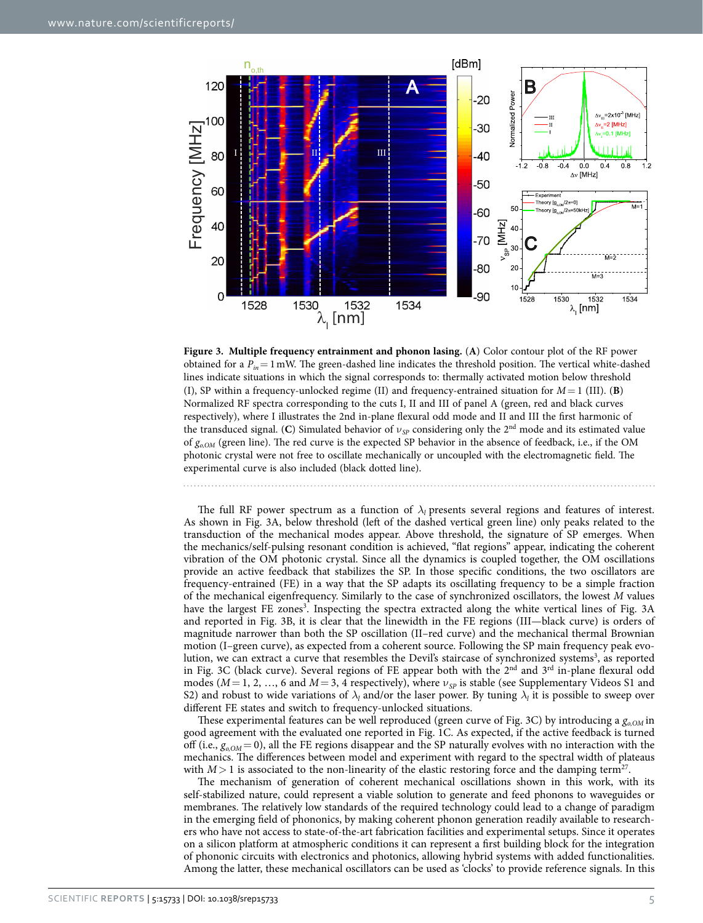

<span id="page-4-0"></span>**Figure 3. Multiple frequency entrainment and phonon lasing.** (**A**) Color contour plot of the RF power obtained for a  $P_{in} = 1$  mW. The green-dashed line indicates the threshold position. The vertical white-dashed lines indicate situations in which the signal corresponds to: thermally activated motion below threshold (I), SP within a frequency-unlocked regime (II) and frequency-entrained situation for  $M = 1$  (III). **(B)** Normalized RF spectra corresponding to the cuts I, II and III of panel A (green, red and black curves respectively), where I illustrates the 2nd in-plane flexural odd mode and II and III the first harmonic of the transduced signal. (C) Simulated behavior of  $v_{SP}$  considering only the 2<sup>nd</sup> mode and its estimated value of  $g_{o,OM}$  (green line). The red curve is the expected SP behavior in the absence of feedback, i.e., if the OM photonic crystal were not free to oscillate mechanically or uncoupled with the electromagnetic field. The experimental curve is also included (black dotted line).

The full RF power spectrum as a function of  $\lambda$ *l* presents several regions and features of interest. As shown in [Fig. 3A](#page-4-0), below threshold (left of the dashed vertical green line) only peaks related to the transduction of the mechanical modes appear. Above threshold, the signature of SP emerges. When the mechanics/self-pulsing resonant condition is achieved, "flat regions" appear, indicating the coherent vibration of the OM photonic crystal. Since all the dynamics is coupled together, the OM oscillations provide an active feedback that stabilizes the SP. In those specific conditions, the two oscillators are frequency-entrained (FE) in a way that the SP adapts its oscillating frequency to be a simple fraction of the mechanical eigenfrequency. Similarly to the case of synchronized oscillators, the lowest *M* values have the largest FE zones<sup>[3](#page-5-2)</sup>. Inspecting the spectra extracted along the white vertical lines of Fig. 3A and reported in [Fig. 3B,](#page-4-0) it is clear that the linewidth in the FE regions (III—black curve) is orders of magnitude narrower than both the SP oscillation (II–red curve) and the mechanical thermal Brownian motion (I–green curve), as expected from a coherent source. Following the SP main frequency peak evolution, we can extract a curve that resembles the Devil's staircase of synchronized systems<sup>3</sup>, as reported in Fig. 3C (black curve). Several regions of FE appear both with the 2<sup>nd</sup> and 3<sup>rd</sup> in-plane flexural odd modes ( $M=1, 2, ..., 6$  and  $M=3, 4$  respectively), where  $v_{SP}$  is stable (see Supplementary Videos S1 and S2) and robust to wide variations of  $\lambda_l$  and/or the laser power. By tuning  $\lambda_l$  it is possible to sweep over different FE states and switch to frequency-unlocked situations.

These experimental features can be well reproduced (green curve of [Fig. 3C](#page-4-0)) by introducing a  $g_{aOM}$  in good agreement with the evaluated one reported in [Fig. 1C.](#page-1-0) As expected, if the active feedback is turned off (i.e.,  $g_{aOM} = 0$ ), all the FE regions disappear and the SP naturally evolves with no interaction with the mechanics. The differences between model and experiment with regard to the spectral width of plateaus with  $M>1$  is associated to the non-linearity of the elastic restoring force and the damping term<sup>27</sup>.

The mechanism of generation of coherent mechanical oscillations shown in this work, with its self-stabilized nature, could represent a viable solution to generate and feed phonons to waveguides or membranes. The relatively low standards of the required technology could lead to a change of paradigm in the emerging field of phononics, by making coherent phonon generation readily available to researchers who have not access to state-of-the-art fabrication facilities and experimental setups. Since it operates on a silicon platform at atmospheric conditions it can represent a first building block for the integration of phononic circuits with electronics and photonics, allowing hybrid systems with added functionalities.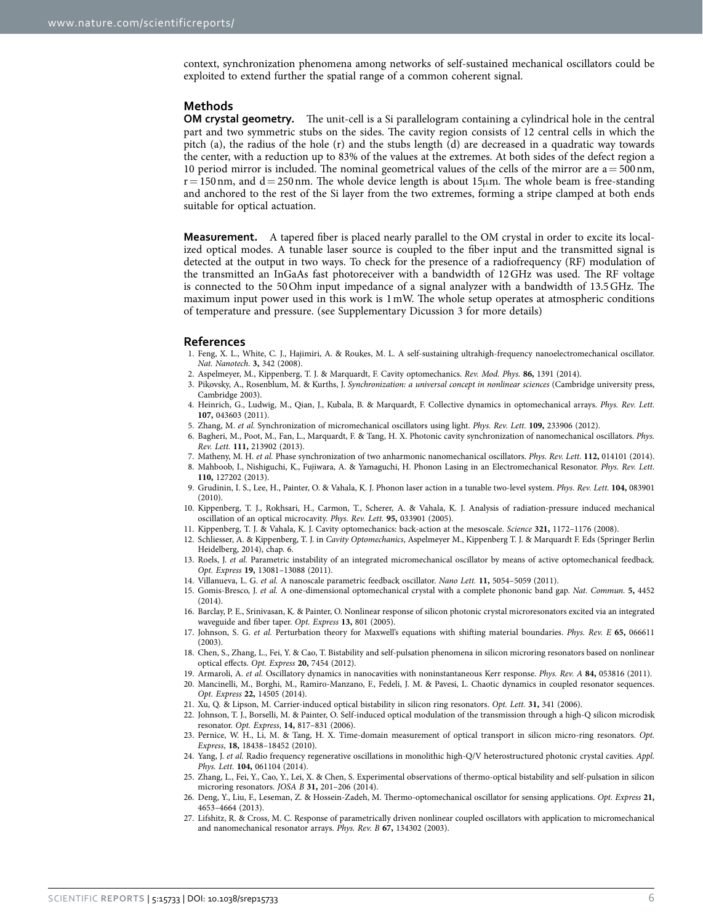context, synchronization phenomena among networks of self-sustained mechanical oscillators could be exploited to extend further the spatial range of a common coherent signal.

#### **Methods**

**OM crystal geometry.** The unit-cell is a Si parallelogram containing a cylindrical hole in the central part and two symmetric stubs on the sides. The cavity region consists of 12 central cells in which the pitch (a), the radius of the hole (r) and the stubs length (d) are decreased in a quadratic way towards the center, with a reduction up to 83% of the values at the extremes. At both sides of the defect region a 10 period mirror is included. The nominal geometrical values of the cells of the mirror are  $a = 500 \text{ nm}$ ,  $r= 150$  nm, and  $d= 250$  nm. The whole device length is about 15 $\mu$ m. The whole beam is free-standing and anchored to the rest of the Si layer from the two extremes, forming a stripe clamped at both ends suitable for optical actuation.

**Measurement.** A tapered fiber is placed nearly parallel to the OM crystal in order to excite its localized optical modes. A tunable laser source is coupled to the fiber input and the transmitted signal is detected at the output in two ways. To check for the presence of a radiofrequency (RF) modulation of the transmitted an InGaAs fast photoreceiver with a bandwidth of 12GHz was used. The RF voltage is connected to the 50Ohm input impedance of a signal analyzer with a bandwidth of 13.5GHz. The maximum input power used in this work is 1mW. The whole setup operates at atmospheric conditions of temperature and pressure. (see Supplementary Dicussion 3 for more details)

#### **References**

- <span id="page-5-0"></span>1. Feng, X. L., White, C. J., Hajimiri, A. & Roukes, M. L. A self-sustaining ultrahigh-frequency nanoelectromechanical oscillator. *Nat. Nanotech*. **3,** 342 (2008).
- <span id="page-5-1"></span>2. Aspelmeyer, M., Kippenberg, T. J. & Marquardt, F. Cavity optomechanics. *Rev. Mod. Phys.* **86,** 1391 (2014).
- <span id="page-5-2"></span>3. Pikovsky, A., Rosenblum, M. & Kurths, J. *Synchronization: a universal concept in nonlinear sciences* (Cambridge university press, Cambridge 2003).
- <span id="page-5-3"></span>4. Heinrich, G., Ludwig, M., Qian, J., Kubala, B. & Marquardt, F. Collective dynamics in optomechanical arrays. *Phys. Rev. Lett.* **107,** 043603 (2011).
- <span id="page-5-4"></span>5. Zhang, M. *et al.* Synchronization of micromechanical oscillators using light. *Phys. Rev. Lett.* **109,** 233906 (2012).
- <span id="page-5-5"></span>6. Bagheri, M., Poot, M., Fan, L., Marquardt, F. & Tang, H. X. Photonic cavity synchronization of nanomechanical oscillators. *Phys. Rev. Lett.* **111,** 213902 (2013).
- <span id="page-5-7"></span><span id="page-5-6"></span>7. Matheny, M. H. *et al.* Phase synchronization of two anharmonic nanomechanical oscillators. *Phys. Rev. Lett.* **112,** 014101 (2014). 8. Mahboob, I., Nishiguchi, K., Fujiwara, A. & Yamaguchi, H. Phonon Lasing in an Electromechanical Resonator. *Phys. Rev. Lett.* **110,** 127202 (2013).
- 9. Grudinin, I. S., Lee, H., Painter, O. & Vahala, K. J. Phonon laser action in a tunable two-level system. *Phys. Rev. Lett.* **104,** 083901  $(2010)$
- 10. Kippenberg, T. J., Rokhsari, H., Carmon, T., Scherer, A. & Vahala, K. J. Analysis of radiation-pressure induced mechanical oscillation of an optical microcavity. *Phys. Rev. Lett.* **95,** 033901 (2005).
- <span id="page-5-8"></span>11. Kippenberg, T. J. & Vahala, K. J. Cavity optomechanics: back-action at the mesoscale. *Science* **321,** 1172–1176 (2008).
- <span id="page-5-9"></span>12. Schliesser, A. & Kippenberg, T. J. in *Cavity Optomechanics*, Aspelmeyer M., Kippenberg T. J. & Marquardt F. Eds (Springer Berlin Heidelberg, 2014), chap. 6.
- <span id="page-5-10"></span>13. Roels, J. *et al.* Parametric instability of an integrated micromechanical oscillator by means of active optomechanical feedback. *Opt. Express* **19,** 13081–13088 (2011).
- <span id="page-5-11"></span>14. Villanueva, L. G. *et al.* A nanoscale parametric feedback oscillator. *Nano Lett.* **11,** 5054–5059 (2011).
- <span id="page-5-12"></span>15. Gomis-Bresco, J. *et al.* A one-dimensional optomechanical crystal with a complete phononic band gap. *Nat. Commun.* **5,** 4452  $(2014)$
- <span id="page-5-13"></span>16. Barclay, P. E., Srinivasan, K. & Painter, O. Nonlinear response of silicon photonic crystal microresonators excited via an integrated waveguide and fiber taper. *Opt. Express* **13,** 801 (2005).
- <span id="page-5-14"></span>17. Johnson, S. G. *et al.* Perturbation theory for Maxwell's equations with shifting material boundaries. *Phys. Rev. E* **65,** 066611 (2003).
- <span id="page-5-15"></span>18. Chen, S., Zhang, L., Fei, Y. & Cao, T. Bistability and self-pulsation phenomena in silicon microring resonators based on nonlinear optical effects. *Opt. Express* **20,** 7454 (2012).
- 19. Armaroli, A. *et al.* Oscillatory dynamics in nanocavities with noninstantaneous Kerr response. *Phys. Rev. A* **84,** 053816 (2011).
- 20. Mancinelli, M., Borghi, M., Ramiro-Manzano, F., Fedeli, J. M. & Pavesi, L. Chaotic dynamics in coupled resonator sequences. *Opt. Express* **22,** 14505 (2014).
- <span id="page-5-16"></span>21. Xu, Q. & Lipson, M. Carrier-induced optical bistability in silicon ring resonators. *Opt. Lett.* **31,** 341 (2006).
- <span id="page-5-17"></span>22. Johnson, T. J., Borselli, M. & Painter, O. Self-induced optical modulation of the transmission through a high-Q silicon microdisk resonator. *Opt. Express*, **14,** 817–831 (2006).
- <span id="page-5-18"></span>23. Pernice, W. H., Li, M. & Tang, H. X. Time-domain measurement of optical transport in silicon micro-ring resonators. *Opt. Express*, **18,** 18438–18452 (2010).
- 24. Yang, J. *et al.* Radio frequency regenerative oscillations in monolithic high-Q/V heterostructured photonic crystal cavities. *Appl. Phys. Lett.* **104,** 061104 (2014).
- 25. Zhang, L., Fei, Y., Cao, Y., Lei, X. & Chen, S. Experimental observations of thermo-optical bistability and self-pulsation in silicon microring resonators. *JOSA B* **31,** 201–206 (2014).
- 26. Deng, Y., Liu, F., Leseman, Z. & Hossein-Zadeh, M. Thermo-optomechanical oscillator for sensing applications. *Opt. Express* **21,** 4653–4664 (2013).
- <span id="page-5-19"></span>27. Lifshitz, R. & Cross, M. C. Response of parametrically driven nonlinear coupled oscillators with application to micromechanical and nanomechanical resonator arrays. *Phys. Rev. B* **67,** 134302 (2003).